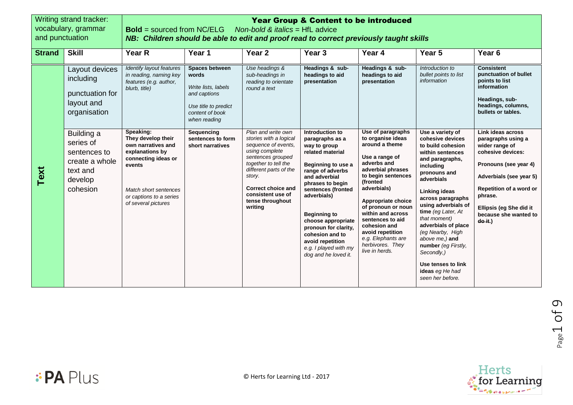| and punctuation | Writing strand tracker:<br>vocabulary, grammar                                               | <b>Year Group &amp; Content to be introduced</b><br><b>Bold</b> = sourced from NC/ELG<br>Non-bold & <i>italics</i> = $HfL$ advice<br>NB: Children should be able to edit and proof read to correct previously taught skills |                                                                                                                           |                                                                                                                                                                                                                                                         |                                                                                                                                                                                                                                                                                                                                                         |                                                                                                                                                                                                                                                                                                                                                      |                                                                                                                                                                                                                                                                                                                                                                                                               |                                                                                                                                                                                                                                         |  |
|-----------------|----------------------------------------------------------------------------------------------|-----------------------------------------------------------------------------------------------------------------------------------------------------------------------------------------------------------------------------|---------------------------------------------------------------------------------------------------------------------------|---------------------------------------------------------------------------------------------------------------------------------------------------------------------------------------------------------------------------------------------------------|---------------------------------------------------------------------------------------------------------------------------------------------------------------------------------------------------------------------------------------------------------------------------------------------------------------------------------------------------------|------------------------------------------------------------------------------------------------------------------------------------------------------------------------------------------------------------------------------------------------------------------------------------------------------------------------------------------------------|---------------------------------------------------------------------------------------------------------------------------------------------------------------------------------------------------------------------------------------------------------------------------------------------------------------------------------------------------------------------------------------------------------------|-----------------------------------------------------------------------------------------------------------------------------------------------------------------------------------------------------------------------------------------|--|
| <b>Strand</b>   | <b>Skill</b>                                                                                 | Year R                                                                                                                                                                                                                      | Year 1                                                                                                                    | Year <sub>2</sub>                                                                                                                                                                                                                                       | Year <sub>3</sub>                                                                                                                                                                                                                                                                                                                                       | Year 4                                                                                                                                                                                                                                                                                                                                               | Year 5                                                                                                                                                                                                                                                                                                                                                                                                        | Year <sub>6</sub>                                                                                                                                                                                                                       |  |
|                 | Layout devices<br>including<br>punctuation for<br>layout and<br>organisation                 | Identify layout features<br>in reading, naming key<br>features (e.g. author,<br>blurb, title)                                                                                                                               | Spaces between<br>words<br>Write lists, labels<br>and captions<br>Use title to predict<br>content of book<br>when reading | Use headings &<br>sub-headings in<br>reading to orientate<br>round a text                                                                                                                                                                               | Headings & sub-<br>headings to aid<br>presentation                                                                                                                                                                                                                                                                                                      | Headings & sub-<br>headings to aid<br>presentation                                                                                                                                                                                                                                                                                                   | Introduction to<br>bullet points to list<br>information                                                                                                                                                                                                                                                                                                                                                       | <b>Consistent</b><br>punctuation of bullet<br>points to list<br>information<br>Headings, sub-<br>headings, columns,<br>bullets or tables.                                                                                               |  |
| Text            | Building a<br>series of<br>sentences to<br>create a whole<br>text and<br>develop<br>cohesion | Speaking:<br>They develop their<br>own narratives and<br>explanations by<br>connecting ideas or<br>events<br>Match short sentences<br>or captions to a series<br>of several pictures                                        | Sequencing<br>sentences to form<br>short narratives                                                                       | Plan and write own<br>stories with a logical<br>sequence of events.<br>using complete<br>sentences grouped<br>together to tell the<br>different parts of the<br>story.<br><b>Correct choice and</b><br>consistent use of<br>tense throughout<br>writing | Introduction to<br>paragraphs as a<br>way to group<br>related material<br>Beginning to use a<br>range of adverbs<br>and adverbial<br>phrases to begin<br>sentences (fronted<br>adverbials)<br><b>Beginning to</b><br>choose appropriate<br>pronoun for clarity,<br>cohesion and to<br>avoid repetition<br>e.g. I played with my<br>dog and he loved it. | Use of paragraphs<br>to organise ideas<br>around a theme<br>Use a range of<br>adverbs and<br>adverbial phrases<br>to begin sentences<br>(fronted<br>adverbials)<br>Appropriate choice<br>of pronoun or noun<br>within and across<br>sentences to aid<br>cohesion and<br>avoid repetition<br>e.g. Elephants are<br>herbivores. They<br>live in herds. | Use a variety of<br>cohesive devices<br>to build cohesion<br>within sentences<br>and paragraphs,<br>including<br>pronouns and<br>adverbials<br>Linking ideas<br>across paragraphs<br>using adverbials of<br>time (eg Later, At<br>that moment)<br>adverbials of place<br>(eg Nearby, High<br>above me.) and<br>number (eg Firstly,<br>Secondly,)<br>Use tenses to link<br>ideas eg He had<br>seen her before. | Link ideas across<br>paragraphs using a<br>wider range of<br>cohesive devices:<br>Pronouns (see year 4)<br>Adverbials (see year 5)<br>Repetition of a word or<br>phrase.<br>Ellipsis (eg She did it<br>because she wanted to<br>do it.) |  |



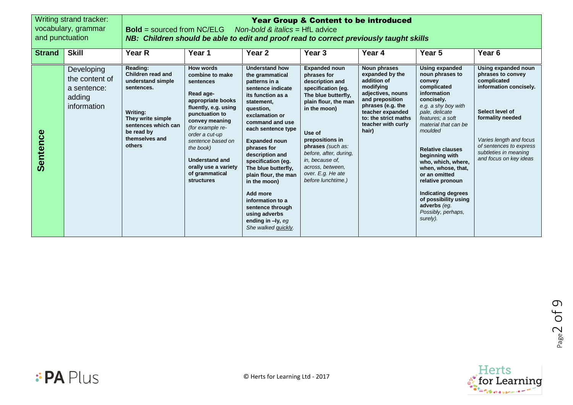|                 | Writing strand tracker:<br><b>Year Group &amp; Content to be introduced</b><br>vocabulary, grammar<br><b>Bold</b> = sourced from $NC/ELG$ Non-bold & <i>italics</i> = HfL advice<br>and punctuation<br>NB: Children should be able to edit and proof read to correct previously taught skills |                                                                                                                                                                    |                                                                                                                                                                                                                                                                                                                |                                                                                                                                                                                                                                                                                                                                                                                                                                                               |                                                                                                                                                                                                                                                                                                           |                                                                                                                                                                                                     |                                                                                                                                                                                                                                                                                                                                                                                                                              |                                                                                                                                                                                                                                   |
|-----------------|-----------------------------------------------------------------------------------------------------------------------------------------------------------------------------------------------------------------------------------------------------------------------------------------------|--------------------------------------------------------------------------------------------------------------------------------------------------------------------|----------------------------------------------------------------------------------------------------------------------------------------------------------------------------------------------------------------------------------------------------------------------------------------------------------------|---------------------------------------------------------------------------------------------------------------------------------------------------------------------------------------------------------------------------------------------------------------------------------------------------------------------------------------------------------------------------------------------------------------------------------------------------------------|-----------------------------------------------------------------------------------------------------------------------------------------------------------------------------------------------------------------------------------------------------------------------------------------------------------|-----------------------------------------------------------------------------------------------------------------------------------------------------------------------------------------------------|------------------------------------------------------------------------------------------------------------------------------------------------------------------------------------------------------------------------------------------------------------------------------------------------------------------------------------------------------------------------------------------------------------------------------|-----------------------------------------------------------------------------------------------------------------------------------------------------------------------------------------------------------------------------------|
| <b>Strand</b>   | <b>Skill</b>                                                                                                                                                                                                                                                                                  | Year R                                                                                                                                                             | Year 1                                                                                                                                                                                                                                                                                                         | Year <sub>2</sub>                                                                                                                                                                                                                                                                                                                                                                                                                                             | Year <sub>3</sub>                                                                                                                                                                                                                                                                                         | Year 4                                                                                                                                                                                              | Year 5                                                                                                                                                                                                                                                                                                                                                                                                                       | Year <sub>6</sub>                                                                                                                                                                                                                 |
| <b>Sentence</b> | Developing<br>the content of<br>a sentence:<br>adding<br>information                                                                                                                                                                                                                          | Reading:<br>Children read and<br>understand simple<br>sentences.<br>Writing:<br>They write simple<br>sentences which can<br>be read by<br>themselves and<br>others | <b>How words</b><br>combine to make<br>sentences<br>Read age-<br>appropriate books<br>fluently, e.g. using<br>punctuation to<br>convey meaning<br>(for example re-<br>order a cut-up<br>sentence based on<br>the book)<br><b>Understand and</b><br>orally use a variety<br>of grammatical<br><b>structures</b> | <b>Understand how</b><br>the grammatical<br>patterns in a<br>sentence indicate<br>its function as a<br>statement,<br>question,<br>exclamation or<br>command and use<br>each sentence type<br><b>Expanded noun</b><br>phrases for<br>description and<br>specification (eq.<br>The blue butterfly,<br>plain flour, the man<br>in the moon)<br>Add more<br>information to a<br>sentence through<br>using adverbs<br>ending in $-ly$ , eq.<br>She walked quickly. | <b>Expanded noun</b><br>phrases for<br>description and<br>specification (eg.<br>The blue butterfly.<br>plain flour, the man<br>in the moon)<br>Use of<br>prepositions in<br>phrases (such as:<br>before, after, during,<br>in, because of,<br>across, between,<br>over. E.g. He ate<br>before lunchtime.) | Noun phrases<br>expanded by the<br>addition of<br>modifying<br>adjectives, nouns<br>and preposition<br>phrases (e.g. the<br>teacher expanded<br>to: the strict maths<br>teacher with curly<br>hair) | Using expanded<br>noun phrases to<br>convey<br>complicated<br>information<br>concisely.<br>e.g. a shy boy with<br>pale, delicate<br>features; a soft<br>material that can be<br>moulded<br><b>Relative clauses</b><br>beginning with<br>who, which, where,<br>when, whose, that,<br>or an omitted<br>relative pronoun<br><b>Indicating degrees</b><br>of possibility using<br>adverbs (eg.<br>Possibly, perhaps,<br>surely). | Using expanded noun<br>phrases to convey<br>complicated<br>information concisely.<br>Select level of<br>formality needed<br>Varies length and focus<br>of sentences to express<br>subtleties in meaning<br>and focus on key ideas |



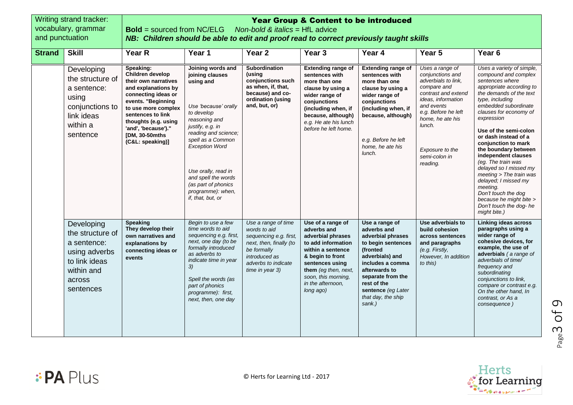| and punctuation | Writing strand tracker:<br>vocabulary, grammar                                                                       | <b>Bold</b> = sourced from NC/ELG                                                                                                                                                                                                                           |                                                                                                                                                                                                                                                                                                                   | <b>Year Group &amp; Content to be introduced</b><br>Non-bold & italics = $HfL$ advice<br>NB: Children should be able to edit and proof read to correct previously taught skills |                                                                                                                                                                                                                          |                                                                                                                                                                                                                                        |                                                                                                                                                                                                                                           |                                                                                                                                                                                                                                                                                                                                                                                                                                                                                                                                                  |  |
|-----------------|----------------------------------------------------------------------------------------------------------------------|-------------------------------------------------------------------------------------------------------------------------------------------------------------------------------------------------------------------------------------------------------------|-------------------------------------------------------------------------------------------------------------------------------------------------------------------------------------------------------------------------------------------------------------------------------------------------------------------|---------------------------------------------------------------------------------------------------------------------------------------------------------------------------------|--------------------------------------------------------------------------------------------------------------------------------------------------------------------------------------------------------------------------|----------------------------------------------------------------------------------------------------------------------------------------------------------------------------------------------------------------------------------------|-------------------------------------------------------------------------------------------------------------------------------------------------------------------------------------------------------------------------------------------|--------------------------------------------------------------------------------------------------------------------------------------------------------------------------------------------------------------------------------------------------------------------------------------------------------------------------------------------------------------------------------------------------------------------------------------------------------------------------------------------------------------------------------------------------|--|
| <b>Strand</b>   | <b>Skill</b>                                                                                                         | <b>Year R</b>                                                                                                                                                                                                                                               | Year 1                                                                                                                                                                                                                                                                                                            | Year <sub>2</sub>                                                                                                                                                               | Year <sub>3</sub>                                                                                                                                                                                                        | Year 4                                                                                                                                                                                                                                 | Year <sub>5</sub>                                                                                                                                                                                                                         | Year <sub>6</sub>                                                                                                                                                                                                                                                                                                                                                                                                                                                                                                                                |  |
|                 | Developing<br>the structure of<br>a sentence:<br>using<br>conjunctions to<br>link ideas<br>within a<br>sentence      | Speaking:<br>Children develop<br>their own narratives<br>and explanations by<br>connecting ideas or<br>events. "Beginning<br>to use more complex<br>sentences to link<br>thoughts (e.g. using<br>'and', 'because')."<br>[DM, 30-50mths]<br>(C&L: speaking)] | Joining words and<br>joining clauses<br>using and<br>Use 'because' orally<br>to develop<br>reasoning and<br>justify, e.g. in<br>reading and science;<br>spell as a Common<br><b>Exception Word</b><br>Use orally, read in<br>and spell the words<br>(as part of phonics<br>programme): when,<br>if, that, but, or | Subordination<br>(using<br>conjunctions such<br>as when, if, that,<br>because) and co-<br>ordination (using<br>and, but, or)                                                    | <b>Extending range of</b><br>sentences with<br>more than one<br>clause by using a<br>wider range of<br>conjunctions<br>(including when, if<br>because, although)<br>e.g. He ate his lunch<br>before he left home.        | <b>Extending range of</b><br>sentences with<br>more than one<br>clause by using a<br>wider range of<br>conjunctions<br>(including when, if<br>because, although)<br>e.g. Before he left<br>home, he ate his<br>lunch.                  | Uses a range of<br>conjunctions and<br>adverbials to link,<br>compare and<br>contrast and extend<br>ideas, information<br>and events<br>e.g. Before he left<br>home, he ate his<br>lunch.<br>Exposure to the<br>semi-colon in<br>reading. | Uses a variety of simple,<br>compound and complex<br>sentences where<br>appropriate according to<br>the demands of the text<br>type, including<br>embedded subordinate<br>clauses for economy of<br>expression<br>Use of the semi-colon<br>or dash instead of a<br>conjunction to mark<br>the boundary between<br>independent clauses<br>(eg. The train was<br>delayed so I missed my<br>meeting > The train was<br>delayed; I missed my<br>meeting.<br>Don't touch the dog<br>because he might bite ><br>Don't touch the dog-he<br>might bite.) |  |
|                 | Developing<br>the structure of<br>a sentence:<br>using adverbs<br>to link ideas<br>within and<br>across<br>sentences | <b>Speaking</b><br>They develop their<br>own narratives and<br>explanations by<br>connecting ideas or<br>events                                                                                                                                             | Begin to use a few<br>time words to aid<br>sequencing e.g. first,<br>next, one day (to be<br>formally introduced<br>as adverbs to<br>indicate time in year<br>3)<br>Spell the words (as<br>part of phonics<br>programme): first,<br>next, then, one day                                                           | Use a range of time<br>words to aid<br>sequencing e.g. first,<br>next, then, finally (to<br>be formally<br>introduced as<br>adverbs to indicate<br>time in year 3)              | Use of a range of<br>adverbs and<br>adverbial phrases<br>to add information<br>within a sentence<br>& begin to front<br>sentences using<br>them (eg then, next,<br>soon, this morning,<br>in the afternoon,<br>long ago) | Use a range of<br>adverbs and<br>adverbial phrases<br>to begin sentences<br>(fronted<br>adverbials) and<br>includes a comma<br>afterwards to<br>separate from the<br>rest of the<br>sentence (eg Later<br>that day, the ship<br>sank.) | Use adverbials to<br>build cohesion<br>across sentences<br>and paragraphs<br>(e.g. Firstly,<br>However, In addition<br>to this)                                                                                                           | <b>Linking ideas across</b><br>paragraphs using a<br>wider range of<br>cohesive devices, for<br>example, the use of<br>adverbials (a range of<br>adverbials of time/<br>frequency and<br>subordinating<br>conjunctions to link,<br>compare or contrast e.g.<br>On the other hand, In<br>contrast, or As a<br>consequence)                                                                                                                                                                                                                        |  |



Page

3 of 9

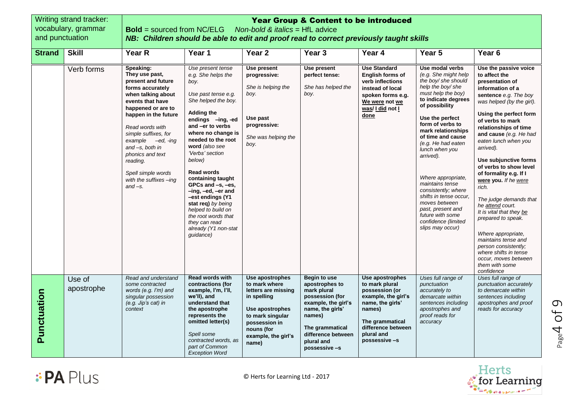| and punctuation | Writing strand tracker:<br>vocabulary, grammar | <b>Bold</b> = sourced from NC/ELG<br>NB: Children should be able to edit and proof read to correct previously taught skills                                                                                                                                                                                                                          |                                                                                                                                                                                                                                                                                                                                                                                                                                                                                          | Non-bold & italics = $HfL$ advice                                                                                                                                            | <b>Year Group &amp; Content to be introduced</b>                                                                                                                                                     |                                                                                                                                                                                  |                                                                                                                                                                                                                                                                                                                                                                                                                                                                                         |                                                                                                                                                                                                                                                                                                                                                                                                                                                                                                                                                                                                                                               |
|-----------------|------------------------------------------------|------------------------------------------------------------------------------------------------------------------------------------------------------------------------------------------------------------------------------------------------------------------------------------------------------------------------------------------------------|------------------------------------------------------------------------------------------------------------------------------------------------------------------------------------------------------------------------------------------------------------------------------------------------------------------------------------------------------------------------------------------------------------------------------------------------------------------------------------------|------------------------------------------------------------------------------------------------------------------------------------------------------------------------------|------------------------------------------------------------------------------------------------------------------------------------------------------------------------------------------------------|----------------------------------------------------------------------------------------------------------------------------------------------------------------------------------|-----------------------------------------------------------------------------------------------------------------------------------------------------------------------------------------------------------------------------------------------------------------------------------------------------------------------------------------------------------------------------------------------------------------------------------------------------------------------------------------|-----------------------------------------------------------------------------------------------------------------------------------------------------------------------------------------------------------------------------------------------------------------------------------------------------------------------------------------------------------------------------------------------------------------------------------------------------------------------------------------------------------------------------------------------------------------------------------------------------------------------------------------------|
| <b>Strand</b>   | <b>Skill</b>                                   | Year R                                                                                                                                                                                                                                                                                                                                               | Year 1                                                                                                                                                                                                                                                                                                                                                                                                                                                                                   | Year <sub>2</sub>                                                                                                                                                            | Year <sub>3</sub>                                                                                                                                                                                    | Year 4                                                                                                                                                                           | Year 5                                                                                                                                                                                                                                                                                                                                                                                                                                                                                  | Year <sub>6</sub>                                                                                                                                                                                                                                                                                                                                                                                                                                                                                                                                                                                                                             |
|                 | Verb forms                                     | Speaking:<br>They use past,<br>present and future<br>forms accurately<br>when talking about<br>events that have<br>happened or are to<br>happen in the future<br>Read words with<br>simple suffixes, for<br>$example$ $-ed$ , $-ing$<br>and -s, both in<br>phonics and text<br>reading.<br>Spell simple words<br>with the suffixes -ing<br>$and -s.$ | Use present tense<br>e.g. She helps the<br>boy.<br>Use past tense e.g.<br>She helped the boy.<br><b>Adding the</b><br>endings -ing, -ed<br>and -er to verbs<br>where no change is<br>needed to the root<br>word (also see<br>'Verbs' section<br>below)<br><b>Read words</b><br>containing taught<br>GPCs and -s, -es,<br>-ing, -ed, -er and<br>est endings (Y1-<br>stat req) by being<br>helped to build on<br>the root words that<br>they can read<br>already (Y1 non-stat<br>guidance) | <b>Use present</b><br>progressive:<br>She is helping the<br>boy.<br>Use past<br>progressive:<br>She was helping the<br>boy.                                                  | Use present<br>perfect tense:<br>She has helped the<br>boy.                                                                                                                                          | <b>Use Standard</b><br><b>English forms of</b><br>verb inflections<br>instead of local<br>spoken forms e.g.<br>We were not we<br>was/ I did not I<br>done                        | Use modal verbs<br>(e.g. She might help<br>the boy/ she should<br>help the boy/she<br>must help the boy)<br>to indicate degrees<br>of possibility<br>Use the perfect<br>form of verbs to<br>mark relationships<br>of time and cause<br>(e.g. He had eaten<br>lunch when you<br>arrived).<br>Where appropriate,<br>maintains tense<br>consistently; where<br>shifts in tense occur.<br>moves between<br>past, present and<br>future with some<br>confidence (limited<br>slips may occur) | Use the passive voice<br>to affect the<br>presentation of<br>information of a<br>sentence e.g. The boy<br>was helped (by the girl).<br>Using the perfect form<br>of verbs to mark<br>relationships of time<br>and cause (e.g. He had<br>eaten lunch when you<br>arrived).<br>Use subjunctive forms<br>of verbs to show level<br>of formality e.g. If I<br>were you. If he were<br>rich.<br>The judge demands that<br>he attend court.<br>It is vital that they be<br>prepared to speak.<br>Where appropriate,<br>maintains tense and<br>person consistently;<br>where shifts in tense<br>occur, moves between<br>them with some<br>confidence |
| Punctuation     | Use of<br>apostrophe                           | Read and understand<br>some contracted<br>words (e.g. I'm) and<br>singular possession<br>(e.g. Jip's cat) in<br>context                                                                                                                                                                                                                              | Read words with<br>contractions (for<br>example, I'm, I'll,<br>we'll), and<br>understand that<br>the apostrophe<br>represents the<br>omitted letter(s)<br>Spell some<br>contracted words, as<br>part of Common<br><b>Exception Word</b>                                                                                                                                                                                                                                                  | Use apostrophes<br>to mark where<br>letters are missing<br>in spelling<br>Use apostrophes<br>to mark singular<br>possession in<br>nouns (for<br>example, the girl's<br>name) | <b>Begin to use</b><br>apostrophes to<br>mark plural<br>possession (for<br>example, the girl's<br>name, the girls'<br>names)<br>The grammatical<br>difference between<br>plural and<br>possessive -s | Use apostrophes<br>to mark plural<br>possession (or<br>example, the girl's<br>name, the girls'<br>names)<br>The grammatical<br>difference between<br>plural and<br>possessive -s | Uses full range of<br>punctuation<br>accurately to<br>demarcate within<br>sentences including<br>apostrophes and<br>proof reads for<br>accuracy                                                                                                                                                                                                                                                                                                                                         | Uses full range of<br>punctuation accurately<br>to demarcate within<br>sentences including<br>apostrophes and proof<br>reads for accuracy                                                                                                                                                                                                                                                                                                                                                                                                                                                                                                     |





Page 4 of 9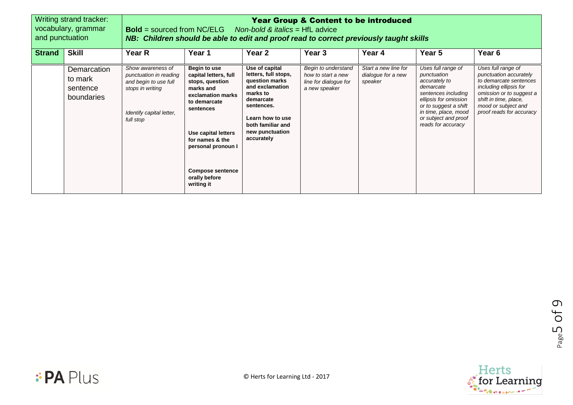| Writing strand tracker:<br>vocabulary, grammar<br>and punctuation |                           | <b>Year Group &amp; Content to be introduced</b><br><b>Bold</b> = sourced from NC/ELG Non-bold & <i>italics</i> = $HfL$ advice<br>NB: Children should be able to edit and proof read to correct previously taught skills |                                                                                                                                                                                                                                                   |                                                                                                                                                                                              |                                                                                     |                                                       |                                                                                                                                                                                                                |                                                                                                                                                                                                          |
|-------------------------------------------------------------------|---------------------------|--------------------------------------------------------------------------------------------------------------------------------------------------------------------------------------------------------------------------|---------------------------------------------------------------------------------------------------------------------------------------------------------------------------------------------------------------------------------------------------|----------------------------------------------------------------------------------------------------------------------------------------------------------------------------------------------|-------------------------------------------------------------------------------------|-------------------------------------------------------|----------------------------------------------------------------------------------------------------------------------------------------------------------------------------------------------------------------|----------------------------------------------------------------------------------------------------------------------------------------------------------------------------------------------------------|
| <b>Skill</b><br><b>Strand</b>                                     |                           | Year R                                                                                                                                                                                                                   | Year 1                                                                                                                                                                                                                                            | Year 2                                                                                                                                                                                       | Year 3                                                                              | Year 4                                                | Year 5                                                                                                                                                                                                         | Year 6                                                                                                                                                                                                   |
| to mark<br>sentence                                               | Demarcation<br>boundaries | Show awareness of<br>punctuation in reading<br>and begin to use full<br>stops in writing<br>Identify capital letter,<br>full stop                                                                                        | Begin to use<br>capital letters, full<br>stops, question<br>marks and<br>exclamation marks<br>to demarcate<br>sentences<br>Use capital letters<br>for names & the<br>personal pronoun I<br><b>Compose sentence</b><br>orally before<br>writing it | Use of capital<br>letters, full stops,<br>question marks<br>and exclamation<br>marks to<br>demarcate<br>sentences.<br>Learn how to use<br>both familiar and<br>new punctuation<br>accurately | Begin to understand<br>how to start a new<br>line for dialogue for<br>a new speaker | Start a new line for<br>dialogue for a new<br>speaker | Uses full range of<br>punctuation<br>accurately to<br>demarcate<br>sentences including<br>ellipsis for omission<br>or to suggest a shift<br>in time, place, mood<br>or subject and proof<br>reads for accuracy | Uses full range of<br>punctuation accurately<br>to demarcate sentences<br>including ellipsis for<br>omission or to suggest a<br>shift in time, place,<br>mood or subject and<br>proof reads for accuracy |



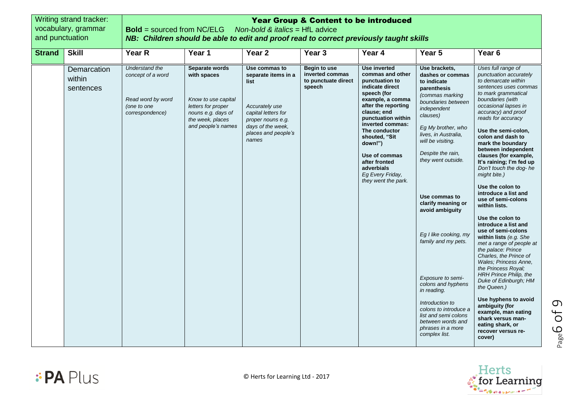| and punctuation | Writing strand tracker:<br>vocabulary, grammar | <b>Year Group &amp; Content to be introduced</b><br><b>Bold</b> = sourced from NC/ELG<br>Non-bold & <i>italics</i> = $HfL$ advice<br>NB: Children should be able to edit and proof read to correct previously taught skills |                                                                                                                                            |                                                                                                                                                                 |                                                                         |                                                                                                                                                                                                                                                                                                                                  |                                                                                                                                                                                                                                                                                                                                                                                                                                                                                                                                                      |                                                                                                                                                                                                                                                                                                                                                                                                                                                                                                                                                                                                                                                                                                                                                                                                                                                                                                                                   |
|-----------------|------------------------------------------------|-----------------------------------------------------------------------------------------------------------------------------------------------------------------------------------------------------------------------------|--------------------------------------------------------------------------------------------------------------------------------------------|-----------------------------------------------------------------------------------------------------------------------------------------------------------------|-------------------------------------------------------------------------|----------------------------------------------------------------------------------------------------------------------------------------------------------------------------------------------------------------------------------------------------------------------------------------------------------------------------------|------------------------------------------------------------------------------------------------------------------------------------------------------------------------------------------------------------------------------------------------------------------------------------------------------------------------------------------------------------------------------------------------------------------------------------------------------------------------------------------------------------------------------------------------------|-----------------------------------------------------------------------------------------------------------------------------------------------------------------------------------------------------------------------------------------------------------------------------------------------------------------------------------------------------------------------------------------------------------------------------------------------------------------------------------------------------------------------------------------------------------------------------------------------------------------------------------------------------------------------------------------------------------------------------------------------------------------------------------------------------------------------------------------------------------------------------------------------------------------------------------|
| <b>Strand</b>   | <b>Skill</b>                                   | Year R                                                                                                                                                                                                                      | Year 1                                                                                                                                     | Year <sub>2</sub>                                                                                                                                               | Year <sub>3</sub>                                                       | Year 4                                                                                                                                                                                                                                                                                                                           | Year 5                                                                                                                                                                                                                                                                                                                                                                                                                                                                                                                                               | Year <sub>6</sub>                                                                                                                                                                                                                                                                                                                                                                                                                                                                                                                                                                                                                                                                                                                                                                                                                                                                                                                 |
|                 | Demarcation<br>within<br>sentences             | Understand the<br>concept of a word<br>Read word by word<br>(one to one<br>correspondence)                                                                                                                                  | Separate words<br>with spaces<br>Know to use capital<br>letters for proper<br>nouns e.g. days of<br>the week, places<br>and people's names | Use commas to<br>separate items in a<br>list<br>Accurately use<br>capital letters for<br>proper nouns e.g.<br>days of the week.<br>places and people's<br>names | <b>Begin to use</b><br>inverted commas<br>to punctuate direct<br>speech | Use inverted<br>commas and other<br>punctuation to<br>indicate direct<br>speech (for<br>example, a comma<br>after the reporting<br>clause; end<br>punctuation within<br>inverted commas:<br>The conductor<br>shouted, "Sit<br>down!")<br>Use of commas<br>after fronted<br>adverbials<br>Eg Every Friday,<br>they went the park. | Use brackets,<br>dashes or commas<br>to indicate<br>parenthesis<br>(commas marking<br>boundaries between<br>independent<br>clauses)<br>Eg My brother, who<br>lives, in Australia,<br>will be visiting.<br>Despite the rain,<br>they went outside.<br>Use commas to<br>clarify meaning or<br>avoid ambiguity<br>Eg I like cooking, my<br>family and my pets.<br>Exposure to semi-<br>colons and hyphens<br>in reading.<br>Introduction to<br>colons to introduce a<br>list and semi colons<br>between words and<br>phrases in a more<br>complex list. | Uses full range of<br>punctuation accurately<br>to demarcate within<br>sentences uses commas<br>to mark grammatical<br>boundaries (with<br>occasional lapses in<br>accuracy) and proof<br>reads for accuracy<br>Use the semi-colon,<br>colon and dash to<br>mark the boundary<br>between independent<br>clauses (for example,<br>It's raining; I'm fed up<br>Don't touch the dog-he<br>might bite.)<br>Use the colon to<br>introduce a list and<br>use of semi-colons<br>within lists.<br>Use the colon to<br>introduce a list and<br>use of semi-colons<br>within lists (e.g. She<br>met a range of people at<br>the palace: Prince<br>Charles, the Prince of<br><b>Wales: Princess Anne.</b><br>the Princess Royal;<br>HRH Prince Philip, the<br>Duke of Edinburgh; HM<br>the Queen.)<br>Use hyphens to avoid<br>ambiguity (for<br>example, man eating<br>shark versus man-<br>eating shark, or<br>recover versus re-<br>cover) |



Page

6 of 9

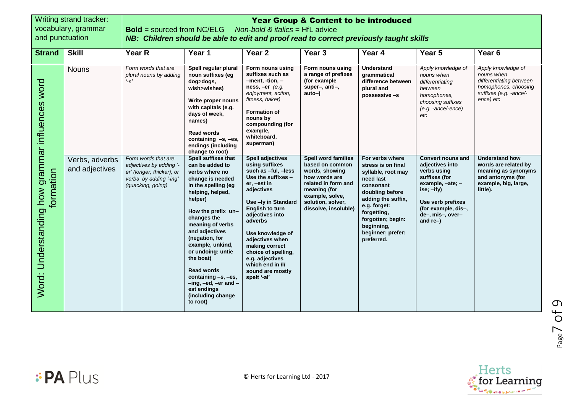| and punctuation                                              | Writing strand tracker:<br>vocabulary, grammar | <b>Bold</b> = sourced from NC/ELG<br>NB: Children should be able to edit and proof read to correct previously taught skills |                                                                                                                                                                                                                                                                                                                                                                                                           | Non-bold & <i>italics</i> = $HfL$ advice                                                                                                                                                                                                                                                                                                                     | <b>Year Group &amp; Content to be introduced</b>                                                                                                                                        |                                                                                                                                                                                                                                     |                                                                                                                                                                                              |                                                                                                                            |
|--------------------------------------------------------------|------------------------------------------------|-----------------------------------------------------------------------------------------------------------------------------|-----------------------------------------------------------------------------------------------------------------------------------------------------------------------------------------------------------------------------------------------------------------------------------------------------------------------------------------------------------------------------------------------------------|--------------------------------------------------------------------------------------------------------------------------------------------------------------------------------------------------------------------------------------------------------------------------------------------------------------------------------------------------------------|-----------------------------------------------------------------------------------------------------------------------------------------------------------------------------------------|-------------------------------------------------------------------------------------------------------------------------------------------------------------------------------------------------------------------------------------|----------------------------------------------------------------------------------------------------------------------------------------------------------------------------------------------|----------------------------------------------------------------------------------------------------------------------------|
| <b>Strand</b>                                                | <b>Skill</b>                                   | Year R                                                                                                                      | Year 1                                                                                                                                                                                                                                                                                                                                                                                                    | Year 2                                                                                                                                                                                                                                                                                                                                                       | Year <sub>3</sub>                                                                                                                                                                       | Year 4                                                                                                                                                                                                                              | Year 5                                                                                                                                                                                       | Year <sub>6</sub>                                                                                                          |
|                                                              | <b>Nouns</b>                                   | Form words that are<br>plural nouns by adding<br>$^{\prime}$ -s'                                                            | Spell regular plural<br>noun suffixes (eg<br>dog>dogs,<br>wish>wishes)<br>Write proper nouns<br>with capitals (e.g.<br>days of week,<br>names)<br><b>Read words</b><br>containing -s, -es,<br>endings (including<br>change to root)                                                                                                                                                                       | Form nouns using<br>suffixes such as<br>$-$ ment, $-$ tion, $-$<br>ness, $-er$ (e.g.<br>enjoyment, action,<br>fitness, baker)<br><b>Formation of</b><br>nouns by<br>compounding (for<br>example,<br>whiteboard,<br>superman)                                                                                                                                 | Form nouns using<br>a range of prefixes<br>(for example<br>super-, anti-,<br>auto-)                                                                                                     | <b>Understand</b><br>grammatical<br>difference between<br>plural and<br>possessive -s                                                                                                                                               | Apply knowledge of<br>nouns when<br>differentiating<br>between<br>homophones,<br>choosing suffixes<br>$(e.g. -ance/-ence)$<br>etc                                                            | Apply knowledge of<br>nouns when<br>differentiating between<br>homophones, choosing<br>suffixes (e.g. -ance/-<br>ence) etc |
| Word: Understanding how grammar influences word<br>formation | Verbs, adverbs<br>and adjectives               | Form words that are<br>adjectives by adding '-<br>er' (longer, thicker), or<br>verbs by adding '-ing'<br>(quacking, going)  | Spell suffixes that<br>can be added to<br>verbs where no<br>change is needed<br>in the spelling (eg<br>helping, helped,<br>helper)<br>How the prefix un-<br>changes the<br>meaning of verbs<br>and adjectives<br>(negation, for<br>example, unkind,<br>or undoing: untie<br>the boat)<br><b>Read words</b><br>containing -s, -es,<br>-ing, -ed, -er and -<br>est endings<br>(including change<br>to root) | <b>Spell adjectives</b><br>using suffixes<br>such as -ful, -less<br>Use the suffixes -<br>er, -est in<br>adjectives<br>Use -Iv in Standard<br><b>English to turn</b><br>adjectives into<br>adverbs<br>Use knowledge of<br>adjectives when<br>making correct<br>choice of spelling,<br>e.g. adjectives<br>which end in /l/<br>sound are mostly<br>spelt '-al' | <b>Spell word families</b><br>based on common<br>words, showing<br>how words are<br>related in form and<br>meaning (for<br>example, solve,<br>solution, solver,<br>dissolve, insoluble) | For verbs where<br>stress is on final<br>syllable, root may<br>need last<br>consonant<br>doubling before<br>adding the suffix,<br>e.g. forget:<br>forgetting,<br>forgotten; begin:<br>beginning,<br>beginner; prefer:<br>preferred. | <b>Convert nouns and</b><br>adjectives into<br>verbs using<br>suffixes (for<br>example, -ate; -<br>ise; -ify)<br>Use verb prefixes<br>(for example, dis-,<br>de-, mis-, over-<br>and $re$ -) | Understand how<br>words are related by<br>meaning as synonyms<br>and antonyms (for<br>example, big, large,<br>little).     |





**:PA Plus**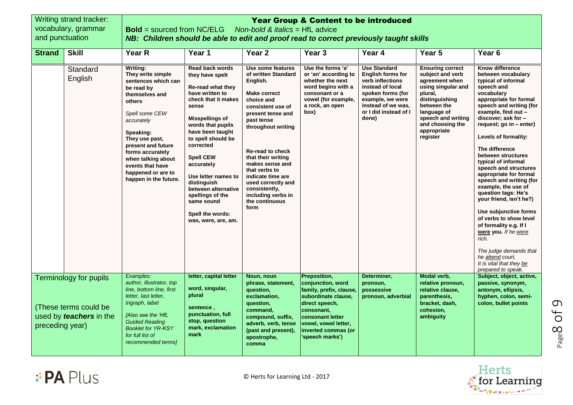|                 | Writing strand tracker:                                                                  | <b>Year Group &amp; Content to be introduced</b>                                                                                                                                                                                                                                                 |                                                                                                                                                                                                                                                                                                                                                                                              |                                                                                                                                                                                                                                                                                                                                                                          |                                                                                                                                                                                                           |                                                                                                                                                                                          |                                                                                                                                                                                                                     |                                                                                                                                                                                                                                                                                                                                                                                                                                                                                                                                                                                                                                                                                    |  |  |
|-----------------|------------------------------------------------------------------------------------------|--------------------------------------------------------------------------------------------------------------------------------------------------------------------------------------------------------------------------------------------------------------------------------------------------|----------------------------------------------------------------------------------------------------------------------------------------------------------------------------------------------------------------------------------------------------------------------------------------------------------------------------------------------------------------------------------------------|--------------------------------------------------------------------------------------------------------------------------------------------------------------------------------------------------------------------------------------------------------------------------------------------------------------------------------------------------------------------------|-----------------------------------------------------------------------------------------------------------------------------------------------------------------------------------------------------------|------------------------------------------------------------------------------------------------------------------------------------------------------------------------------------------|---------------------------------------------------------------------------------------------------------------------------------------------------------------------------------------------------------------------|------------------------------------------------------------------------------------------------------------------------------------------------------------------------------------------------------------------------------------------------------------------------------------------------------------------------------------------------------------------------------------------------------------------------------------------------------------------------------------------------------------------------------------------------------------------------------------------------------------------------------------------------------------------------------------|--|--|
|                 | vocabulary, grammar                                                                      | <b>Bold</b> = sourced from NC/ELG<br>Non-bold & <i>italics</i> = $HfL$ advice                                                                                                                                                                                                                    |                                                                                                                                                                                                                                                                                                                                                                                              |                                                                                                                                                                                                                                                                                                                                                                          |                                                                                                                                                                                                           |                                                                                                                                                                                          |                                                                                                                                                                                                                     |                                                                                                                                                                                                                                                                                                                                                                                                                                                                                                                                                                                                                                                                                    |  |  |
| and punctuation |                                                                                          | NB: Children should be able to edit and proof read to correct previously taught skills                                                                                                                                                                                                           |                                                                                                                                                                                                                                                                                                                                                                                              |                                                                                                                                                                                                                                                                                                                                                                          |                                                                                                                                                                                                           |                                                                                                                                                                                          |                                                                                                                                                                                                                     |                                                                                                                                                                                                                                                                                                                                                                                                                                                                                                                                                                                                                                                                                    |  |  |
| <b>Strand</b>   | <b>Skill</b>                                                                             | Year R                                                                                                                                                                                                                                                                                           | Year 1                                                                                                                                                                                                                                                                                                                                                                                       | Year <sub>2</sub>                                                                                                                                                                                                                                                                                                                                                        | Year <sub>3</sub>                                                                                                                                                                                         | Year 4                                                                                                                                                                                   | Year 5                                                                                                                                                                                                              | Year <sub>6</sub>                                                                                                                                                                                                                                                                                                                                                                                                                                                                                                                                                                                                                                                                  |  |  |
|                 | Standard<br>English                                                                      | Writing:<br>They write simple<br>sentences which can<br>be read by<br>themselves and<br>others<br>Spell some CEW<br>accurately<br>Speaking:<br>They use past,<br>present and future<br>forms accurately<br>when talking about<br>events that have<br>happened or are to<br>happen in the future. | <b>Read back words</b><br>they have spelt<br>Re-read what they<br>have written to<br>check that it makes<br>sense<br>Misspellings of<br>words that pupils<br>have been taught<br>to spell should be<br>corrected<br><b>Spell CEW</b><br>accurately<br>Use letter names to<br>distinguish<br>between alternative<br>spellings of the<br>same sound<br>Spell the words:<br>was, were, are, am. | Use some features<br>of written Standard<br>English.<br><b>Make correct</b><br>choice and<br>consistent use of<br>present tense and<br>past tense<br>throughout writing<br><b>Re-read to check</b><br>that their writing<br>makes sense and<br>that verbs to<br>indicate time are<br>used correctly and<br>consistently,<br>including verbs in<br>the continuous<br>form | Use the forms 'a'<br>or 'an' according to<br>whether the next<br>word begins with a<br>consonant or a<br>vowel (for example,<br>a rock, an open<br>(box                                                   | <b>Use Standard</b><br><b>English forms for</b><br>verb inflections<br>instead of local<br>spoken forms (for<br>example, we were<br>instead of we was,<br>or I did instead of I<br>done) | <b>Ensuring correct</b><br>subject and verb<br>agreement when<br>using singular and<br>plural,<br>distinguishing<br>between the<br>language of<br>speech and writing<br>and choosing the<br>appropriate<br>register | Know difference<br>between vocabulary<br>typical of informal<br>speech and<br>vocabulary<br>appropriate for formal<br>speech and writing (for<br>example, find out -<br>discover; ask for -<br>request; go in - enter)<br>Levels of formality:<br>The difference<br>between structures<br>typical of informal<br>speech and structures<br>appropriate for formal<br>speech and writing (for<br>example, the use of<br>question tags: He's<br>your friend, isn't he?)<br>Use subjunctive forms<br>of verbs to show level<br>of formality e.g. If I<br>were you. If he were<br>rich.<br>The judge demands that<br>he attend court.<br>It is vital that they be<br>prepared to speak. |  |  |
| preceding year) | <b>Terminology for pupils</b><br>(These terms could be<br>used by <i>teachers</i> in the | Examples:<br>author, illustrator, top<br>line, bottom line, first<br>letter, last letter,<br>trigraph, label<br>[Also see the 'HfL<br><b>Guided Reading</b><br><b>Booklet for YR-KS1'</b><br>for full list of<br>recommended terms]                                                              | letter, capital letter<br>word, singular,<br>plural<br>sentence,<br>punctuation, full<br>stop, question<br>mark, exclamation<br>mark                                                                                                                                                                                                                                                         | Noun, noun<br>phrase, statement,<br>question,<br>exclamation,<br>question,<br>command,<br>compound, suffix,<br>adverb, verb, tense<br>(past and present),<br>apostrophe,<br>comma                                                                                                                                                                                        | Preposition,<br>conjunction, word<br>family, prefix, clause,<br>subordinate clause,<br>direct speech,<br>consonant,<br>consonant letter<br>vowel, vowel letter,<br>inverted commas (or<br>'speech marks') | Determiner,<br>pronoun,<br>possessive<br>pronoun, adverbial                                                                                                                              | Modal verb,<br>relative pronoun,<br>relative clause,<br>parenthesis,<br>bracket, dash,<br>cohesion,<br>ambiguity                                                                                                    | Subject, object, active,<br>passive, synonym,<br>antonym, ellipsis,<br>hyphen, colon, semi-<br>colon, bullet points                                                                                                                                                                                                                                                                                                                                                                                                                                                                                                                                                                |  |  |





Page

8 of 9